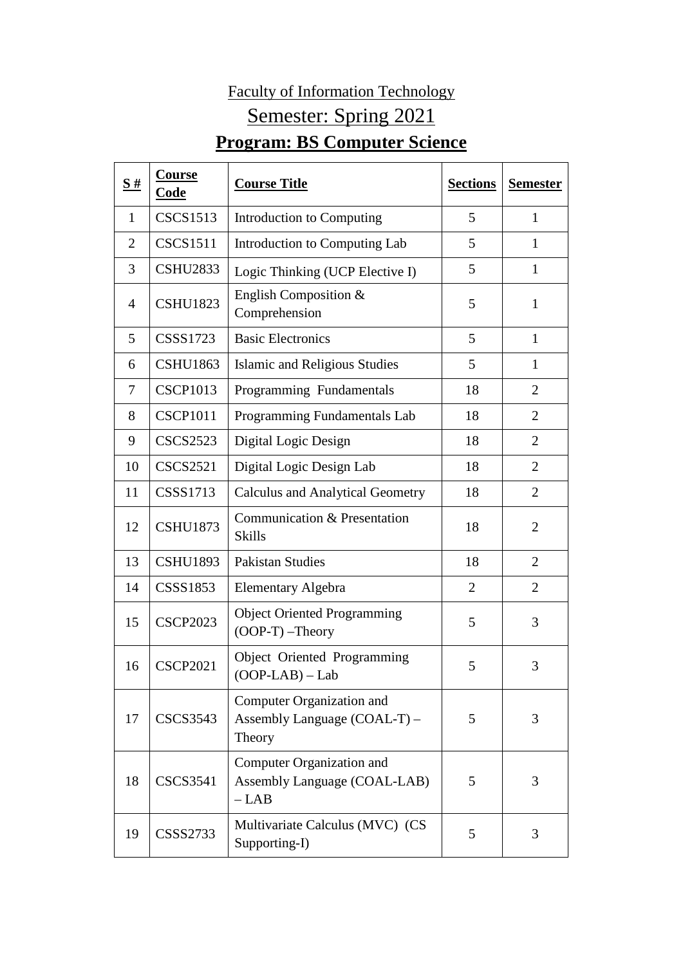## Faculty of Information Technology Semester: Spring 2021 **Program: BS Computer Science**

| S#             | Course<br><b>Code</b> | <b>Course Title</b>                                                 | <b>Sections</b> | <b>Semester</b> |
|----------------|-----------------------|---------------------------------------------------------------------|-----------------|-----------------|
| 1              | <b>CSCS1513</b>       | Introduction to Computing                                           | 5               | $\mathbf{1}$    |
| $\overline{2}$ | <b>CSCS1511</b>       | Introduction to Computing Lab                                       | 5               | 1               |
| 3              | <b>CSHU2833</b>       | Logic Thinking (UCP Elective I)                                     | 5               | 1               |
| 4              | <b>CSHU1823</b>       | English Composition &<br>Comprehension                              | 5               | $\mathbf{1}$    |
| 5              | <b>CSSS1723</b>       | <b>Basic Electronics</b>                                            | 5               | $\mathbf{1}$    |
| 6              | <b>CSHU1863</b>       | Islamic and Religious Studies                                       | 5               | $\mathbf{1}$    |
| $\overline{7}$ | <b>CSCP1013</b>       | Programming Fundamentals                                            | 18              | $\overline{2}$  |
| 8              | <b>CSCP1011</b>       | Programming Fundamentals Lab                                        | 18              | $\overline{2}$  |
| 9              | <b>CSCS2523</b>       | Digital Logic Design                                                | 18              | $\overline{2}$  |
| 10             | <b>CSCS2521</b>       | Digital Logic Design Lab                                            | 18              | $\overline{2}$  |
| 11             | <b>CSSS1713</b>       | <b>Calculus and Analytical Geometry</b>                             | 18              | $\overline{2}$  |
| 12             | <b>CSHU1873</b>       | Communication & Presentation<br><b>Skills</b>                       | 18              | $\overline{2}$  |
| 13             | <b>CSHU1893</b>       | <b>Pakistan Studies</b>                                             | 18              | $\overline{2}$  |
| 14             | CSSS1853              | <b>Elementary Algebra</b>                                           | $\overline{2}$  | $\overline{2}$  |
| 15             | <b>CSCP2023</b>       | <b>Object Oriented Programming</b><br>$(OOP-T)$ -Theory             | 5               | 3               |
| 16             | <b>CSCP2021</b>       | Object Oriented Programming<br>$(OOP-LAB) - Lab$                    | 5               | 3               |
| 17             | <b>CSCS3543</b>       | Computer Organization and<br>Assembly Language (COAL-T) -<br>Theory | 5               | 3               |
| 18             | <b>CSCS3541</b>       | Computer Organization and<br>Assembly Language (COAL-LAB)<br>$-LAB$ | 5               | 3               |
| 19             | <b>CSSS2733</b>       | Multivariate Calculus (MVC) (CS<br>Supporting-I)                    | 5               | 3               |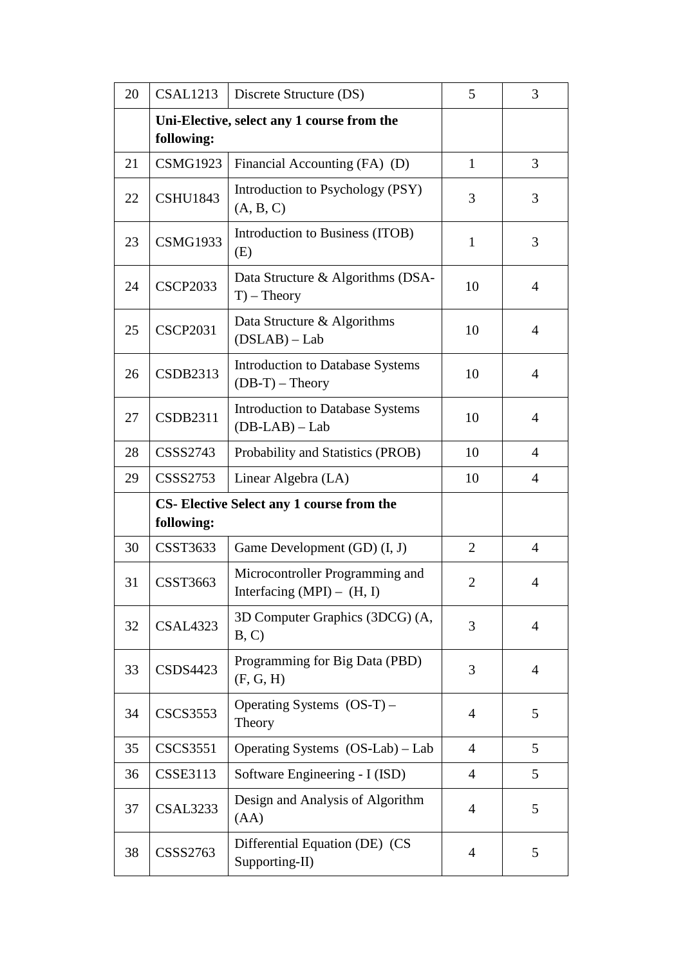| 20 | <b>CSAL1213</b> | Discrete Structure (DS)                                         | 5              | 3              |
|----|-----------------|-----------------------------------------------------------------|----------------|----------------|
|    | following:      | Uni-Elective, select any 1 course from the                      |                |                |
| 21 | <b>CSMG1923</b> | Financial Accounting (FA) (D)                                   | $\mathbf{1}$   | 3              |
| 22 | <b>CSHU1843</b> | Introduction to Psychology (PSY)<br>(A, B, C)                   | 3              | 3              |
| 23 | <b>CSMG1933</b> | Introduction to Business (ITOB)<br>(E)                          | $\mathbf{1}$   | 3              |
| 24 | <b>CSCP2033</b> | Data Structure & Algorithms (DSA-<br>$T$ – Theory               | 10             | $\overline{4}$ |
| 25 | <b>CSCP2031</b> | Data Structure & Algorithms<br>$(DSLAB) - Lab$                  | 10             | $\overline{4}$ |
| 26 | <b>CSDB2313</b> | <b>Introduction to Database Systems</b><br>$(DB-T)$ – Theory    | 10             | $\overline{4}$ |
| 27 | <b>CSDB2311</b> | <b>Introduction to Database Systems</b><br>$(DB-LAB) - Lab$     | 10             | $\overline{4}$ |
| 28 | <b>CSSS2743</b> | Probability and Statistics (PROB)                               | 10             | $\overline{4}$ |
| 29 | <b>CSSS2753</b> | Linear Algebra (LA)                                             | 10             | $\overline{4}$ |
|    | following:      | <b>CS-Elective Select any 1 course from the</b>                 |                |                |
| 30 | <b>CSST3633</b> | Game Development (GD) (I, J)                                    | $\overline{2}$ | 4              |
| 31 | <b>CSST3663</b> | Microcontroller Programming and<br>Interfacing $(MPI) - (H, I)$ | $\overline{2}$ | $\overline{4}$ |
| 32 | <b>CSAL4323</b> | 3D Computer Graphics (3DCG) (A,<br>B, C)                        | 3              | $\overline{4}$ |
| 33 | <b>CSDS4423</b> | Programming for Big Data (PBD)<br>(F, G, H)                     | 3              | $\overline{4}$ |
| 34 | <b>CSCS3553</b> | Operating Systems $(OS-T)$ –<br>Theory                          | $\overline{4}$ | 5              |
| 35 | <b>CSCS3551</b> | Operating Systems (OS-Lab) - Lab                                | 4              | 5              |
| 36 | <b>CSSE3113</b> | Software Engineering - I (ISD)                                  | $\overline{4}$ | 5              |
| 37 | <b>CSAL3233</b> | Design and Analysis of Algorithm<br>(AA)                        | $\overline{4}$ | 5              |
| 38 | CSSS2763        | Differential Equation (DE) (CS<br>Supporting-II)                | 4              | 5              |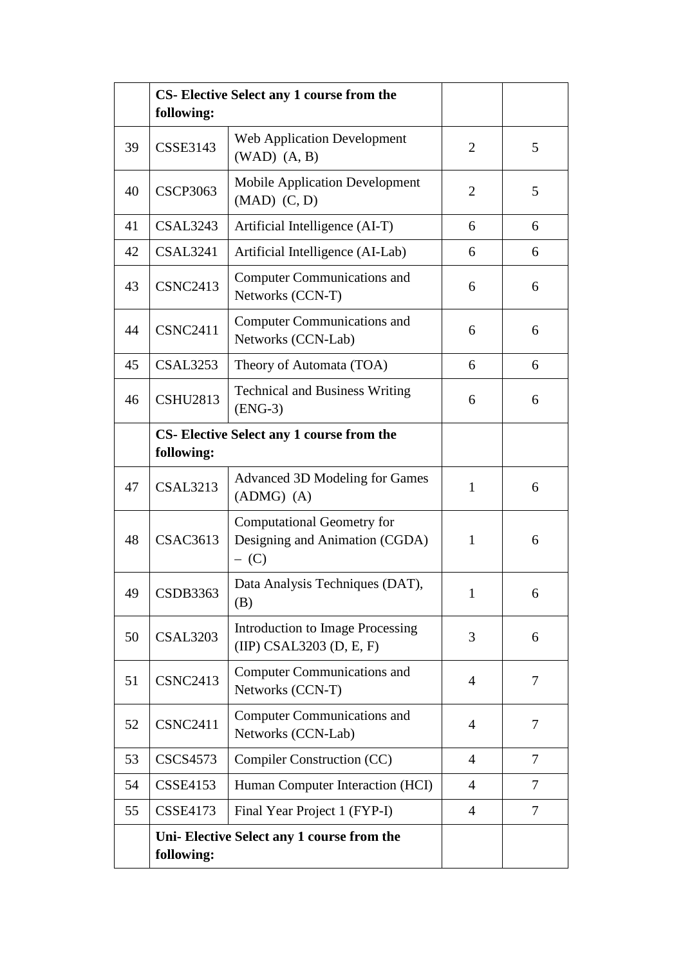|    | following:                               | CS-Elective Select any 1 course from the                                       |                |        |
|----|------------------------------------------|--------------------------------------------------------------------------------|----------------|--------|
| 39 | <b>CSSE3143</b>                          | <b>Web Application Development</b><br>$(WAD)$ $(A, B)$                         | 2              | 5      |
| 40 | <b>CSCP3063</b>                          | <b>Mobile Application Development</b><br>$(MAD)$ $(C, D)$                      | $\overline{2}$ | 5      |
| 41 | <b>CSAL3243</b>                          | Artificial Intelligence (AI-T)                                                 | 6              | 6      |
| 42 | <b>CSAL3241</b>                          | Artificial Intelligence (AI-Lab)                                               | 6              | 6      |
| 43 | <b>CSNC2413</b>                          | <b>Computer Communications and</b><br>Networks (CCN-T)                         | 6              | 6      |
| 44 | <b>CSNC2411</b>                          | <b>Computer Communications and</b><br>Networks (CCN-Lab)                       | 6              | 6      |
| 45 | CSAL3253                                 | Theory of Automata (TOA)                                                       | 6              | 6      |
| 46 | <b>CSHU2813</b>                          | <b>Technical and Business Writing</b><br>$(ENG-3)$                             | 6              | 6      |
|    | CS-Elective Select any 1 course from the |                                                                                |                |        |
|    | following:                               |                                                                                |                |        |
| 47 | <b>CSAL3213</b>                          | <b>Advanced 3D Modeling for Games</b><br>$(ADMG)$ $(A)$                        | $\mathbf{1}$   | 6      |
| 48 | <b>CSAC3613</b>                          | <b>Computational Geometry for</b><br>Designing and Animation (CGDA)<br>$-$ (C) | $\mathbf{1}$   | 6      |
| 49 | <b>CSDB3363</b>                          | Data Analysis Techniques (DAT),<br>(B)                                         | 1              | 6      |
| 50 | <b>CSAL3203</b>                          | <b>Introduction to Image Processing</b><br>$(IIIP)$ CSAL3203 (D, E, F)         | 3              | 6      |
| 51 | <b>CSNC2413</b>                          | <b>Computer Communications and</b><br>Networks (CCN-T)                         | $\overline{4}$ | 7      |
| 52 | <b>CSNC2411</b>                          | <b>Computer Communications and</b><br>Networks (CCN-Lab)                       | $\overline{4}$ | 7      |
| 53 | <b>CSCS4573</b>                          | Compiler Construction (CC)                                                     | $\overline{4}$ | 7      |
| 54 | <b>CSSE4153</b>                          | Human Computer Interaction (HCI)                                               | $\overline{4}$ | 7      |
| 55 | <b>CSSE4173</b>                          | Final Year Project 1 (FYP-I)                                                   | $\overline{4}$ | $\tau$ |
|    | following:                               | Uni-Elective Select any 1 course from the                                      |                |        |